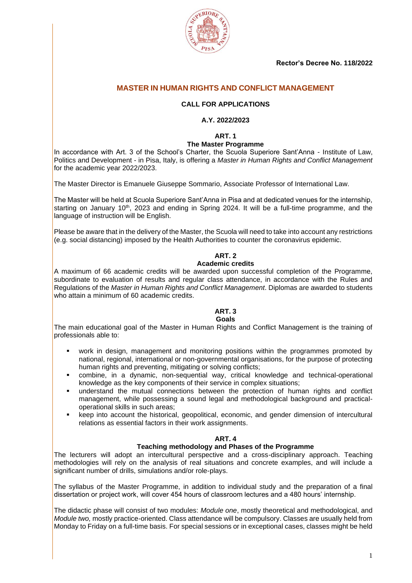**Rector's Decree No. 118/2022**



# **MASTER IN HUMAN RIGHTS AND CONFLICT MANAGEMENT**

# **CALL FOR APPLICATIONS**

# **A.Y. 2022/2023**

**ART. 1**

#### **The Master Programme**

In accordance with Art. 3 of the School's Charter, the Scuola Superiore Sant'Anna - Institute of Law, Politics and Development - in Pisa, Italy, is offering a *Master in Human Rights and Conflict Management*  for the academic year 2022/2023.

The Master Director is Emanuele Giuseppe Sommario, Associate Professor of International Law.

The Master will be held at Scuola Superiore Sant'Anna in Pisa and at dedicated venues for the internship, starting on January 10<sup>th</sup>, 2023 and ending in Spring 2024. It will be a full-time programme, and the language of instruction will be English.

Please be aware that in the delivery of the Master, the Scuola will need to take into account any restrictions (e.g. social distancing) imposed by the Health Authorities to counter the coronavirus epidemic.

# **ART. 2**

## **Academic credits**

A maximum of 66 academic credits will be awarded upon successful completion of the Programme, subordinate to evaluation of results and regular class attendance, in accordance with the Rules and Regulations of the *Master in Human Rights and Conflict Management*. Diplomas are awarded to students who attain a minimum of 60 academic credits.

# **ART. 3**

#### **Goals**

The main educational goal of the Master in Human Rights and Conflict Management is the training of professionals able to:

- work in design, management and monitoring positions within the programmes promoted by national, regional, international or non-governmental organisations, for the purpose of protecting human rights and preventing, mitigating or solving conflicts;
- combine, in a dynamic, non-sequential way, critical knowledge and technical-operational knowledge as the key components of their service in complex situations;
- understand the mutual connections between the protection of human rights and conflict management, while possessing a sound legal and methodological background and practicaloperational skills in such areas;
- keep into account the historical, geopolitical, economic, and gender dimension of intercultural relations as essential factors in their work assignments.

#### **ART. 4**

#### **Teaching methodology and Phases of the Programme**

The lecturers will adopt an intercultural perspective and a cross-disciplinary approach. Teaching methodologies will rely on the analysis of real situations and concrete examples, and will include a significant number of drills, simulations and/or role-plays.

The syllabus of the Master Programme, in addition to individual study and the preparation of a final dissertation or project work, will cover 454 hours of classroom lectures and a 480 hours' internship.

The didactic phase will consist of two modules: *Module one*, mostly theoretical and methodological, and *Module two,* mostly practice-oriented. Class attendance will be compulsory. Classes are usually held from Monday to Friday on a full-time basis. For special sessions or in exceptional cases, classes might be held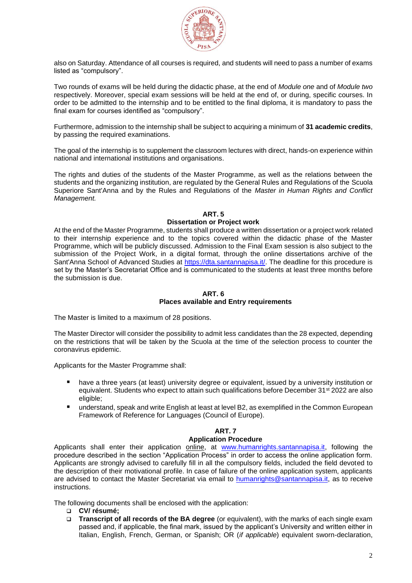

also on Saturday. Attendance of all courses is required, and students will need to pass a number of exams listed as "compulsory".

Two rounds of exams will be held during the didactic phase, at the end of *Module one* and of *Module two* respectively. Moreover, special exam sessions will be held at the end of, or during, specific courses. In order to be admitted to the internship and to be entitled to the final diploma, it is mandatory to pass the final exam for courses identified as "compulsory".

Furthermore, admission to the internship shall be subject to acquiring a minimum of **31 academic credits**, by passing the required examinations.

The goal of the internship is to supplement the classroom lectures with direct, hands-on experience within national and international institutions and organisations.

The rights and duties of the students of the Master Programme, as well as the relations between the students and the organizing institution, are regulated by the General Rules and Regulations of the Scuola Superiore Sant'Anna and by the Rules and Regulations of the *Master in Human Rights and Conflict Management.*

#### **ART. 5**

#### **Dissertation or Project work**

At the end of the Master Programme, students shall produce a written dissertation or a project work related to their internship experience and to the topics covered within the didactic phase of the Master Programme, which will be publicly discussed. Admission to the Final Exam session is also subject to the submission of the Project Work, in a digital format, through the online dissertations archive of the Sant'Anna School of Advanced Studies at [https://dta.santannapisa.it/.](https://dta.santannapisa.it/) The deadline for this procedure is set by the Master's Secretariat Office and is communicated to the students at least three months before the submission is due.

#### **ART. 6 Places available and Entry requirements**

The Master is limited to a maximum of 28 positions.

The Master Director will consider the possibility to admit less candidates than the 28 expected, depending on the restrictions that will be taken by the Scuola at the time of the selection process to counter the coronavirus epidemic.

Applicants for the Master Programme shall:

- have a three years (at least) university degree or equivalent, issued by a university institution or equivalent. Students who expect to attain such qualifications before December 31<sup>st</sup> 2022 are also eligible;
- understand, speak and write English at least at level B2, as exemplified in the Common European Framework of Reference for Languages (Council of Europe).

# **ART. 7**

#### **Application Procedure**

Applicants shall enter their application online, at [www.humanrights.santannapisa.it,](http://www.humanrights.santannapisa.it/) following the procedure described in the section "Application Process" in order to access the online application form. Applicants are strongly advised to carefully fill in all the compulsory fields, included the field devoted to the description of their motivational profile. In case of failure of the online application system, applicants are advised to contact the Master Secretariat via email to [humanrights@santannapisa.it,](mailto:humanrights@santannapisa.it) as to receive instructions.

The following documents shall be enclosed with the application:

- ❑ **CV/ résumé;**
- ❑ **Transcript of all records of the BA degree** (or equivalent), with the marks of each single exam passed and, if applicable, the final mark, issued by the applicant's University and written either in Italian, English, French, German, or Spanish; OR (*if applicable*) equivalent sworn-declaration,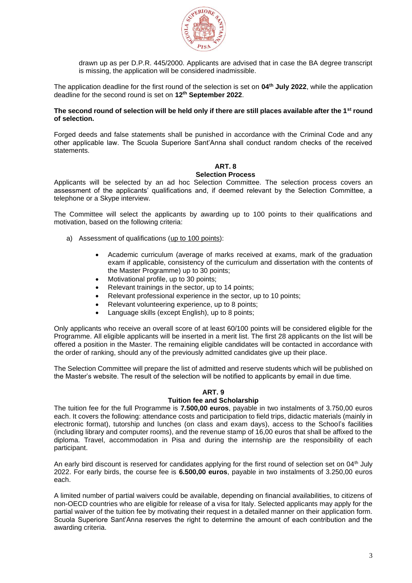

drawn up as per D.P.R. 445/2000. Applicants are advised that in case the BA degree transcript is missing, the application will be considered inadmissible.

The application deadline for the first round of the selection is set on **04th July 2022**, while the application deadline for the second round is set on **12th September 2022**.

#### **The second round of selection will be held only if there are still places available after the 1st round of selection.**

Forged deeds and false statements shall be punished in accordance with the Criminal Code and any other applicable law. The Scuola Superiore Sant'Anna shall conduct random checks of the received statements.

# **ART. 8**

## **Selection Process**

Applicants will be selected by an ad hoc Selection Committee. The selection process covers an assessment of the applicants' qualifications and, if deemed relevant by the Selection Committee, a telephone or a Skype interview.

The Committee will select the applicants by awarding up to 100 points to their qualifications and motivation, based on the following criteria:

- a) Assessment of qualifications (up to 100 points):
	- Academic curriculum (average of marks received at exams, mark of the graduation exam if applicable, consistency of the curriculum and dissertation with the contents of the Master Programme) up to 30 points;
	- Motivational profile, up to 30 points;
	- Relevant trainings in the sector, up to 14 points;
	- Relevant professional experience in the sector, up to 10 points;
	- Relevant volunteering experience, up to 8 points;
	- Language skills (except English), up to 8 points;

Only applicants who receive an overall score of at least 60/100 points will be considered eligible for the Programme. All eligible applicants will be inserted in a merit list. The first 28 applicants on the list will be offered a position in the Master. The remaining eligible candidates will be contacted in accordance with the order of ranking, should any of the previously admitted candidates give up their place.

The Selection Committee will prepare the list of admitted and reserve students which will be published on the Master's website. The result of the selection will be notified to applicants by email in due time.

# **ART. 9**

# **Tuition fee and Scholarship**

The tuition fee for the full Programme is **7.500,00 euros**, payable in two instalments of 3.750,00 euros each. It covers the following: attendance costs and participation to field trips, didactic materials (mainly in electronic format), tutorship and lunches (on class and exam days), access to the School's facilities (including library and computer rooms), and the revenue stamp of 16,00 euros that shall be affixed to the diploma. Travel, accommodation in Pisa and during the internship are the responsibility of each participant.

An early bird discount is reserved for candidates applying for the first round of selection set on 04<sup>th</sup> July 2022. For early birds, the course fee is **6.500,00 euros**, payable in two instalments of 3.250,00 euros each.

A limited number of partial waivers could be available, depending on financial availabilities, to citizens of non-OECD countries who are eligible for release of a visa for Italy. Selected applicants may apply for the partial waiver of the tuition fee by motivating their request in a detailed manner on their application form. Scuola Superiore Sant'Anna reserves the right to determine the amount of each contribution and the awarding criteria.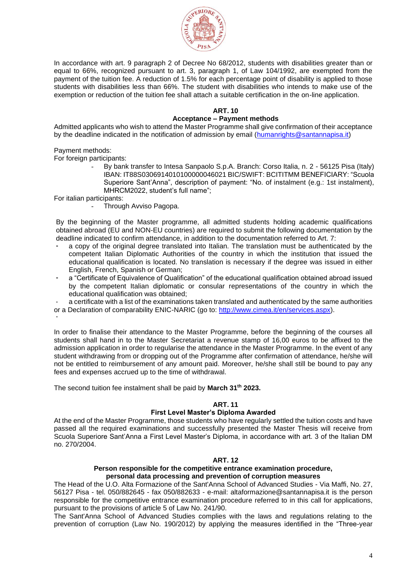

In accordance with art. 9 paragraph 2 of Decree No 68/2012, students with disabilities greater than or equal to 66%, recognized pursuant to art. 3, paragraph 1, of Law 104/1992, are exempted from the payment of the tuition fee. A reduction of 1.5% for each percentage point of disability is applied to those students with disabilities less than 66%. The student with disabilities who intends to make use of the exemption or reduction of the tuition fee shall attach a suitable certification in the on-line application.

#### **ART. 10**

#### **Acceptance – Payment methods**

Admitted applicants who wish to attend the Master Programme shall give confirmation of their acceptance by the deadline indicated in the notification of admission by email [\(humanrights@santannapisa.it\)](mailto:humanrights@santannapisa.it)

Payment methods:

For foreign participants:

By bank transfer to Intesa Sanpaolo S.p.A. Branch: Corso Italia, n. 2 - 56125 Pisa (Italy) IBAN: IT88S0306914010100000046021 BIC/SWIFT: BCITITMM BENEFICIARY: "Scuola Superiore Sant'Anna", description of payment: "No. of instalment (e.g.: 1st instalment), MHRCM2022, student's full name";

For italian participants:

Through Avviso Pagopa.

By the beginning of the Master programme, all admitted students holding academic qualifications obtained abroad (EU and NON-EU countries) are required to submit the following documentation by the deadline indicated to confirm attendance, in addition to the documentation referred to Art. 7:

- a copy of the original degree translated into Italian. The translation must be authenticated by the competent Italian Diplomatic Authorities of the country in which the institution that issued the educational qualification is located. No translation is necessary if the degree was issued in either English, French, Spanish or German;
- a "Certificate of Equivalence of Qualification" of the educational qualification obtained abroad issued by the competent Italian diplomatic or consular representations of the country in which the educational qualification was obtained;
- a certificate with a list of the examinations taken translated and authenticated by the same authorities or a Declaration of comparability ENIC-NARIC (go to: [http://www.cimea.it/en/services.aspx\)](http://www.cimea.it/en/services.aspx).
- -

In order to finalise their attendance to the Master Programme, before the beginning of the courses all students shall hand in to the Master Secretariat a revenue stamp of 16,00 euros to be affixed to the admission application in order to regularise the attendance in the Master Programme. In the event of any student withdrawing from or dropping out of the Programme after confirmation of attendance, he/she will not be entitled to reimbursement of any amount paid. Moreover, he/she shall still be bound to pay any fees and expenses accrued up to the time of withdrawal.

The second tuition fee instalment shall be paid by **March 31th 2023.**

#### **ART. 11**

#### **First Level Master's Diploma Awarded**

At the end of the Master Programme, those students who have regularly settled the tuition costs and have passed all the required examinations and successfully presented the Master Thesis will receive from Scuola Superiore Sant'Anna a First Level Master's Diploma, in accordance with art. 3 of the Italian DM no. 270/2004.

#### **ART. 12**

#### **Person responsible for the competitive entrance examination procedure, personal data processing and prevention of corruption measures**

The Head of the U.O. Alta Formazione of the Sant'Anna School of Advanced Studies - Via Maffi, No. 27, 56127 Pisa - tel. 050/882645 - fax 050/882633 - e-mail: altaformazione@santannapisa.it is the person responsible for the competitive entrance examination procedure referred to in this call for applications, pursuant to the provisions of article 5 of Law No. 241/90.

The Sant'Anna School of Advanced Studies complies with the laws and regulations relating to the prevention of corruption (Law No. 190/2012) by applying the measures identified in the "Three-year